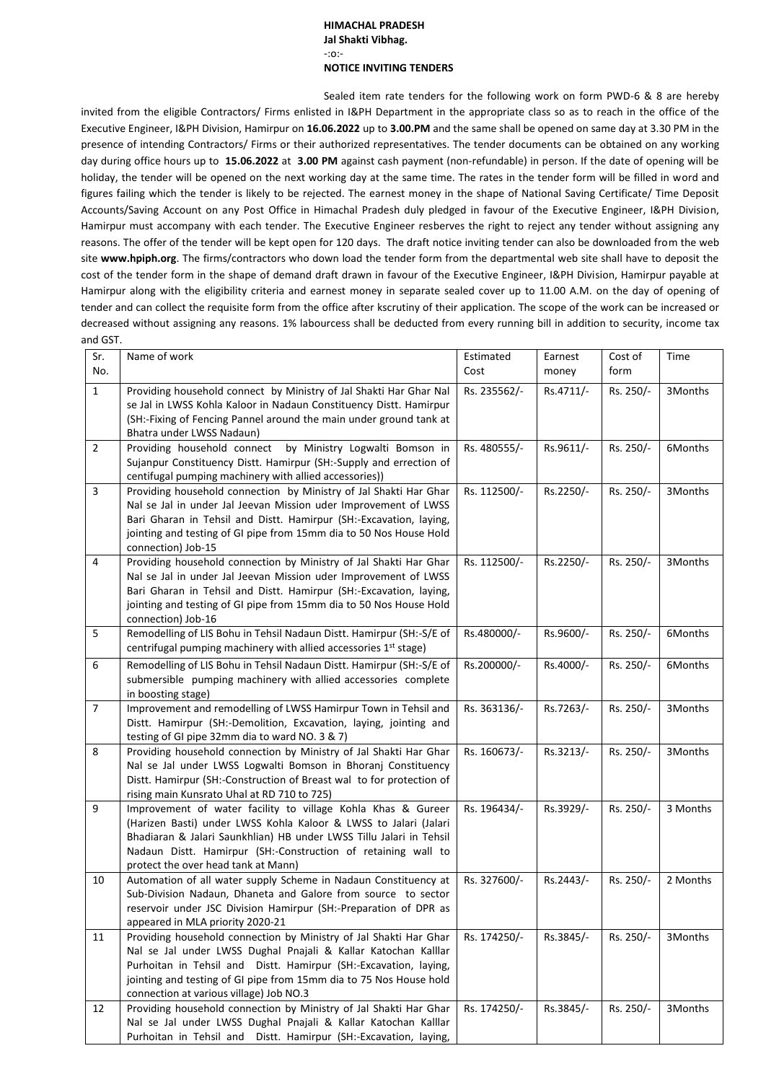## **HIMACHAL PRADESH Jal Shakti Vibhag.** -:o:- **NOTICE INVITING TENDERS**

Sealed item rate tenders for the following work on form PWD-6 & 8 are hereby invited from the eligible Contractors/ Firms enlisted in I&PH Department in the appropriate class so as to reach in the office of the Executive Engineer, I&PH Division, Hamirpur on **16.06.2022** up to **3.00.PM** and the same shall be opened on same day at 3.30 PM in the presence of intending Contractors/ Firms or their authorized representatives. The tender documents can be obtained on any working day during office hours up to **15.06.2022** at **3.00 PM** against cash payment (non-refundable) in person. If the date of opening will be holiday, the tender will be opened on the next working day at the same time. The rates in the tender form will be filled in word and figures failing which the tender is likely to be rejected. The earnest money in the shape of National Saving Certificate/ Time Deposit Accounts/Saving Account on any Post Office in Himachal Pradesh duly pledged in favour of the Executive Engineer, I&PH Division, Hamirpur must accompany with each tender. The Executive Engineer resberves the right to reject any tender without assigning any reasons. The offer of the tender will be kept open for 120 days. The draft notice inviting tender can also be downloaded from the web site **[www.hpiph.org](http://www.hpiph.org/)**. The firms/contractors who down load the tender form from the departmental web site shall have to deposit the cost of the tender form in the shape of demand draft drawn in favour of the Executive Engineer, I&PH Division, Hamirpur payable at Hamirpur along with the eligibility criteria and earnest money in separate sealed cover up to 11.00 A.M. on the day of opening of tender and can collect the requisite form from the office after kscrutiny of their application. The scope of the work can be increased or decreased without assigning any reasons. 1% labourcess shall be deducted from every running bill in addition to security, income tax and GST.

| Sr.<br>No.     | Name of work                                                                                                                                                                                                                                                                                                             | Estimated<br>Cost | Earnest<br>money | Cost of<br>form | Time     |
|----------------|--------------------------------------------------------------------------------------------------------------------------------------------------------------------------------------------------------------------------------------------------------------------------------------------------------------------------|-------------------|------------------|-----------------|----------|
| $\mathbf{1}$   | Providing household connect by Ministry of Jal Shakti Har Ghar Nal<br>se Jal in LWSS Kohla Kaloor in Nadaun Constituency Distt. Hamirpur<br>(SH:-Fixing of Fencing Pannel around the main under ground tank at<br>Bhatra under LWSS Nadaun)                                                                              | Rs. 235562/-      | Rs.4711/-        | Rs. 250/-       | 3Months  |
| $\overline{2}$ | Providing household connect<br>by Ministry Logwalti Bomson in<br>Sujanpur Constituency Distt. Hamirpur (SH:-Supply and errection of<br>centifugal pumping machinery with allied accessories))                                                                                                                            | Rs. 480555/-      | Rs.9611/-        | Rs. 250/-       | 6Months  |
| 3              | Providing household connection by Ministry of Jal Shakti Har Ghar<br>Nal se Jal in under Jal Jeevan Mission uder Improvement of LWSS<br>Bari Gharan in Tehsil and Distt. Hamirpur (SH:-Excavation, laying,<br>jointing and testing of GI pipe from 15mm dia to 50 Nos House Hold<br>connection) Job-15                   | Rs. 112500/-      | Rs.2250/-        | Rs. 250/-       | 3Months  |
| 4              | Providing household connection by Ministry of Jal Shakti Har Ghar<br>Nal se Jal in under Jal Jeevan Mission uder Improvement of LWSS<br>Bari Gharan in Tehsil and Distt. Hamirpur (SH:-Excavation, laying,<br>jointing and testing of GI pipe from 15mm dia to 50 Nos House Hold<br>connection) Job-16                   | Rs. 112500/-      | Rs.2250/-        | Rs. 250/-       | 3Months  |
| 5              | Remodelling of LIS Bohu in Tehsil Nadaun Distt. Hamirpur (SH:-S/E of<br>centrifugal pumping machinery with allied accessories 1st stage)                                                                                                                                                                                 | Rs.480000/-       | Rs.9600/-        | Rs. 250/-       | 6Months  |
| 6              | Remodelling of LIS Bohu in Tehsil Nadaun Distt. Hamirpur (SH:-S/E of<br>submersible pumping machinery with allied accessories complete<br>in boosting stage)                                                                                                                                                             | Rs.200000/-       | Rs.4000/-        | Rs. 250/-       | 6Months  |
| $\overline{7}$ | Improvement and remodelling of LWSS Hamirpur Town in Tehsil and<br>Distt. Hamirpur (SH:-Demolition, Excavation, laying, jointing and<br>testing of GI pipe 32mm dia to ward NO. 3 & 7)                                                                                                                                   | Rs. 363136/-      | Rs.7263/-        | Rs. 250/-       | 3Months  |
| 8              | Providing household connection by Ministry of Jal Shakti Har Ghar<br>Nal se Jal under LWSS Logwalti Bomson in Bhoranj Constituency<br>Distt. Hamirpur (SH:-Construction of Breast wal to for protection of<br>rising main Kunsrato Uhal at RD 710 to 725)                                                                | Rs. 160673/-      | Rs.3213/-        | Rs. 250/-       | 3Months  |
| 9              | Improvement of water facility to village Kohla Khas & Gureer<br>(Harizen Basti) under LWSS Kohla Kaloor & LWSS to Jalari (Jalari<br>Bhadiaran & Jalari Saunkhlian) HB under LWSS Tillu Jalari in Tehsil<br>Nadaun Distt. Hamirpur (SH:-Construction of retaining wall to<br>protect the over head tank at Mann)          | Rs. 196434/-      | Rs.3929/-        | Rs. 250/-       | 3 Months |
| 10             | Automation of all water supply Scheme in Nadaun Constituency at<br>Sub-Division Nadaun, Dhaneta and Galore from source to sector<br>reservoir under JSC Division Hamirpur (SH:-Preparation of DPR as<br>appeared in MLA priority 2020-21                                                                                 | Rs. 327600/-      | Rs.2443/-        | Rs. 250/-       | 2 Months |
| 11             | Providing household connection by Ministry of Jal Shakti Har Ghar<br>Nal se Jal under LWSS Dughal Pnajali & Kallar Katochan Kalllar<br>Purhoitan in Tehsil and Distt. Hamirpur (SH:-Excavation, laying,<br>jointing and testing of GI pipe from 15mm dia to 75 Nos House hold<br>connection at various village) Job NO.3 | Rs. 174250/-      | Rs.3845/-        | Rs. 250/-       | 3Months  |
| 12             | Providing household connection by Ministry of Jal Shakti Har Ghar<br>Nal se Jal under LWSS Dughal Pnajali & Kallar Katochan Kalllar<br>Purhoitan in Tehsil and Distt. Hamirpur (SH:-Excavation, laying,                                                                                                                  | Rs. 174250/-      | Rs.3845/-        | Rs. 250/-       | 3Months  |